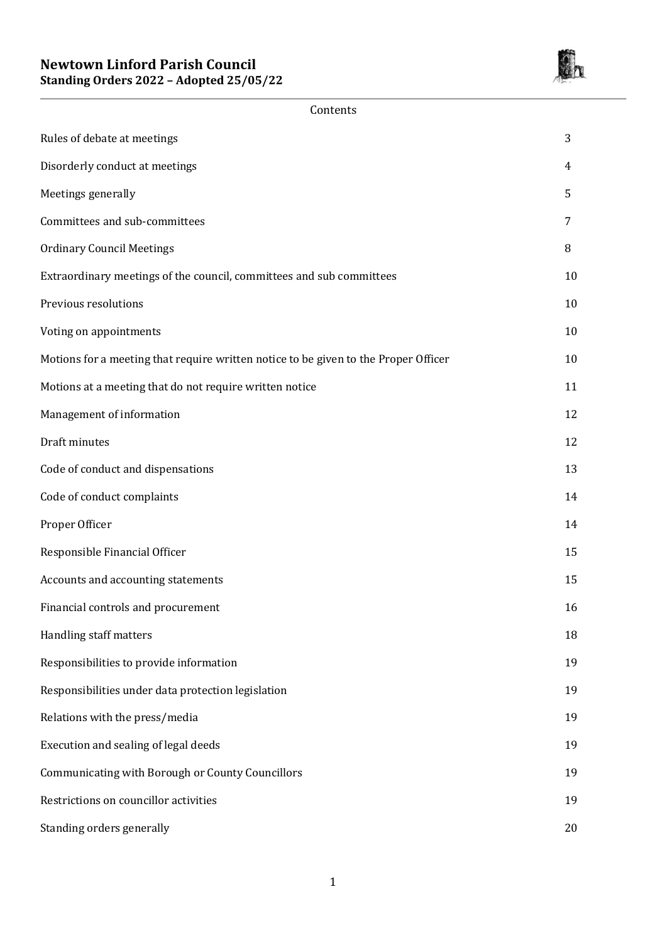

Contents

| Rules of debate at meetings                                                         | 3  |
|-------------------------------------------------------------------------------------|----|
| Disorderly conduct at meetings                                                      | 4  |
| Meetings generally                                                                  | 5  |
| Committees and sub-committees                                                       | 7  |
| <b>Ordinary Council Meetings</b>                                                    | 8  |
| Extraordinary meetings of the council, committees and sub committees                | 10 |
| Previous resolutions                                                                | 10 |
| Voting on appointments                                                              | 10 |
| Motions for a meeting that require written notice to be given to the Proper Officer | 10 |
| Motions at a meeting that do not require written notice                             | 11 |
| Management of information                                                           | 12 |
| Draft minutes                                                                       | 12 |
| Code of conduct and dispensations                                                   | 13 |
| Code of conduct complaints                                                          | 14 |
| Proper Officer                                                                      | 14 |
| Responsible Financial Officer                                                       | 15 |
| Accounts and accounting statements                                                  | 15 |
| Financial controls and procurement                                                  | 16 |
| Handling staff matters                                                              | 18 |
| Responsibilities to provide information                                             | 19 |
| Responsibilities under data protection legislation                                  | 19 |
| Relations with the press/media                                                      | 19 |
| Execution and sealing of legal deeds                                                | 19 |
| Communicating with Borough or County Councillors                                    | 19 |
| Restrictions on councillor activities                                               | 19 |
| Standing orders generally                                                           | 20 |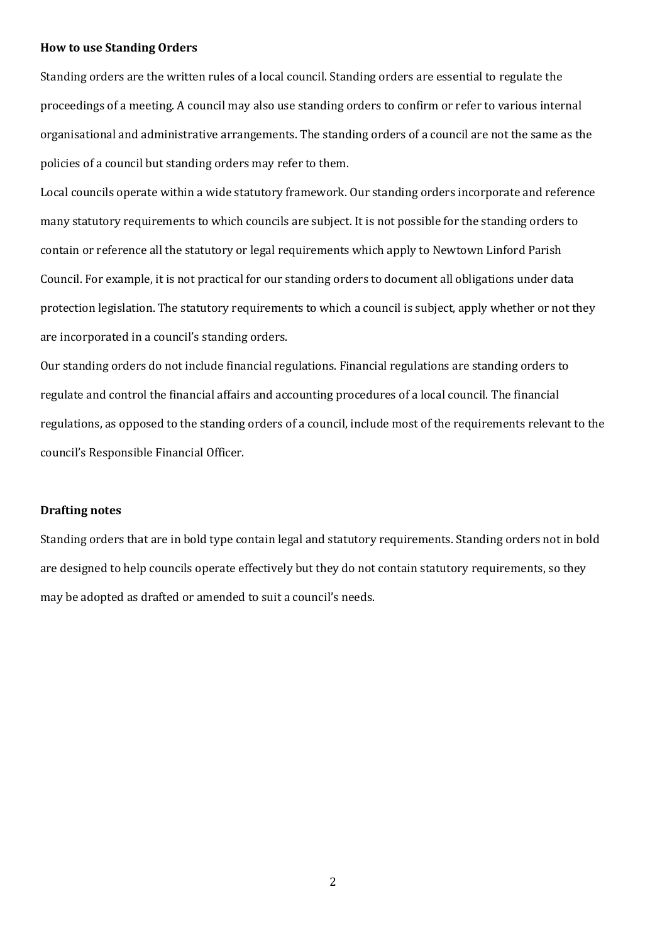#### **How to use Standing Orders**

Standing orders are the written rules of a local council. Standing orders are essential to regulate the proceedings of a meeting. A council may also use standing orders to confirm or refer to various internal organisational and administrative arrangements. The standing orders of a council are not the same as the policies of a council but standing orders may refer to them.

Local councils operate within a wide statutory framework. Our standing orders incorporate and reference many statutory requirements to which councils are subject. It is not possible for the standing orders to contain or reference all the statutory or legal requirements which apply to Newtown Linford Parish Council. For example, it is not practical for our standing orders to document all obligations under data protection legislation. The statutory requirements to which a council is subject, apply whether or not they are incorporated in a council's standing orders.

Our standing orders do not include financial regulations. Financial regulations are standing orders to regulate and control the financial affairs and accounting procedures of a local council. The financial regulations, as opposed to the standing orders of a council, include most of the requirements relevant to the council's Responsible Financial Officer.

#### **Drafting notes**

Standing orders that are in bold type contain legal and statutory requirements. Standing orders not in bold are designed to help councils operate effectively but they do not contain statutory requirements, so they may be adopted as drafted or amended to suit a council's needs.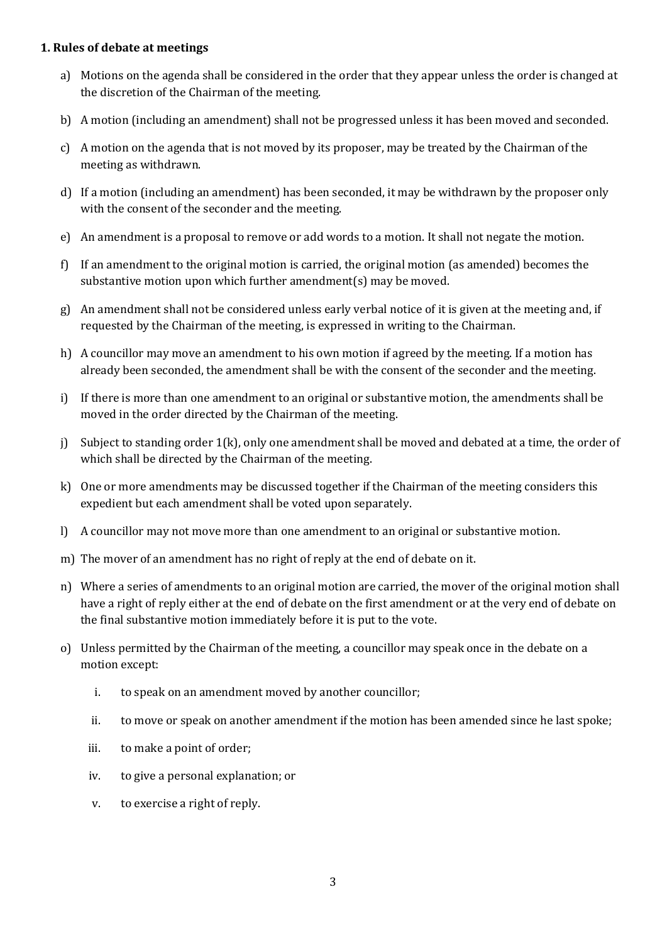### **1. Rules of debate at meetings**

- a) Motions on the agenda shall be considered in the order that they appear unless the order is changed at the discretion of the Chairman of the meeting.
- b) A motion (including an amendment) shall not be progressed unless it has been moved and seconded.
- c) A motion on the agenda that is not moved by its proposer, may be treated by the Chairman of the meeting as withdrawn.
- d) If a motion (including an amendment) has been seconded, it may be withdrawn by the proposer only with the consent of the seconder and the meeting.
- e) An amendment is a proposal to remove or add words to a motion. It shall not negate the motion.
- f) If an amendment to the original motion is carried, the original motion (as amended) becomes the substantive motion upon which further amendment(s) may be moved.
- g) An amendment shall not be considered unless early verbal notice of it is given at the meeting and, if requested by the Chairman of the meeting, is expressed in writing to the Chairman.
- h) A councillor may move an amendment to his own motion if agreed by the meeting. If a motion has already been seconded, the amendment shall be with the consent of the seconder and the meeting.
- i) If there is more than one amendment to an original or substantive motion, the amendments shall be moved in the order directed by the Chairman of the meeting.
- j) Subject to standing order 1(k), only one amendment shall be moved and debated at a time, the order of which shall be directed by the Chairman of the meeting.
- k) One or more amendments may be discussed together if the Chairman of the meeting considers this expedient but each amendment shall be voted upon separately.
- l) A councillor may not move more than one amendment to an original or substantive motion.
- m) The mover of an amendment has no right of reply at the end of debate on it.
- n) Where a series of amendments to an original motion are carried, the mover of the original motion shall have a right of reply either at the end of debate on the first amendment or at the very end of debate on the final substantive motion immediately before it is put to the vote.
- o) Unless permitted by the Chairman of the meeting, a councillor may speak once in the debate on a motion except:
	- i. to speak on an amendment moved by another councillor;
	- ii. to move or speak on another amendment if the motion has been amended since he last spoke;
	- iii. to make a point of order;
	- iv. to give a personal explanation; or
	- v. to exercise a right of reply.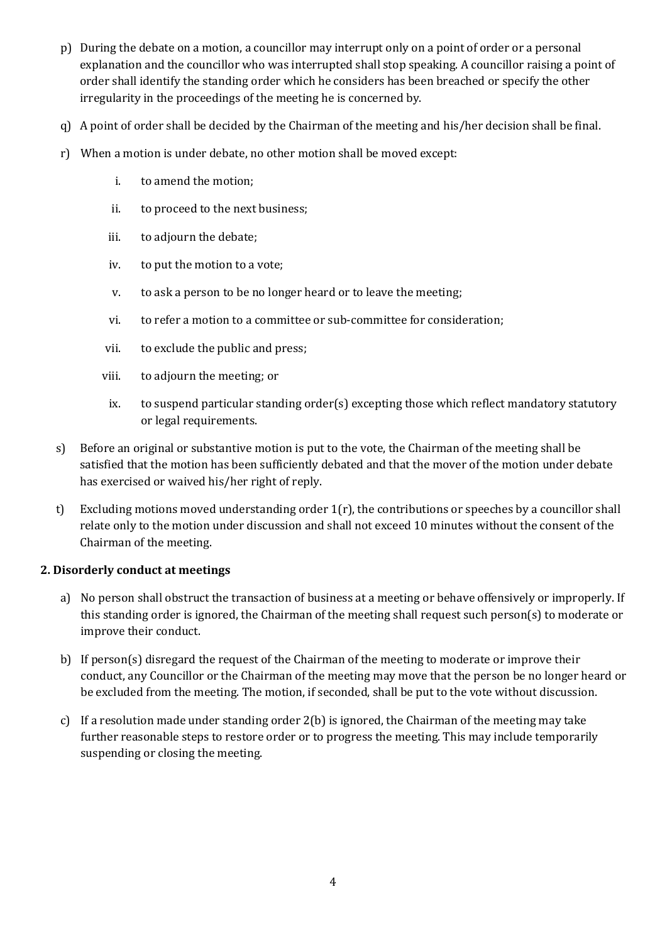- p) During the debate on a motion, a councillor may interrupt only on a point of order or a personal explanation and the councillor who was interrupted shall stop speaking. A councillor raising a point of order shall identify the standing order which he considers has been breached or specify the other irregularity in the proceedings of the meeting he is concerned by.
- q) A point of order shall be decided by the Chairman of the meeting and his/her decision shall be final.
- r) When a motion is under debate, no other motion shall be moved except:
	- i. to amend the motion;
	- ii. to proceed to the next business;
	- iii. to adjourn the debate;
	- iv. to put the motion to a vote;
	- v. to ask a person to be no longer heard or to leave the meeting;
	- vi. to refer a motion to a committee or sub-committee for consideration;
	- vii. to exclude the public and press;
	- viii. to adjourn the meeting; or
	- ix. to suspend particular standing order(s) excepting those which reflect mandatory statutory or legal requirements.
- s) Before an original or substantive motion is put to the vote, the Chairman of the meeting shall be satisfied that the motion has been sufficiently debated and that the mover of the motion under debate has exercised or waived his/her right of reply.
- t) Excluding motions moved understanding order  $1(r)$ , the contributions or speeches by a councillor shall relate only to the motion under discussion and shall not exceed 10 minutes without the consent of the Chairman of the meeting.

# **2. Disorderly conduct at meetings**

- a) No person shall obstruct the transaction of business at a meeting or behave offensively or improperly. If this standing order is ignored, the Chairman of the meeting shall request such person(s) to moderate or improve their conduct.
- b) If person(s) disregard the request of the Chairman of the meeting to moderate or improve their conduct, any Councillor or the Chairman of the meeting may move that the person be no longer heard or be excluded from the meeting. The motion, if seconded, shall be put to the vote without discussion.
- c) If a resolution made under standing order 2(b) is ignored, the Chairman of the meeting may take further reasonable steps to restore order or to progress the meeting. This may include temporarily suspending or closing the meeting.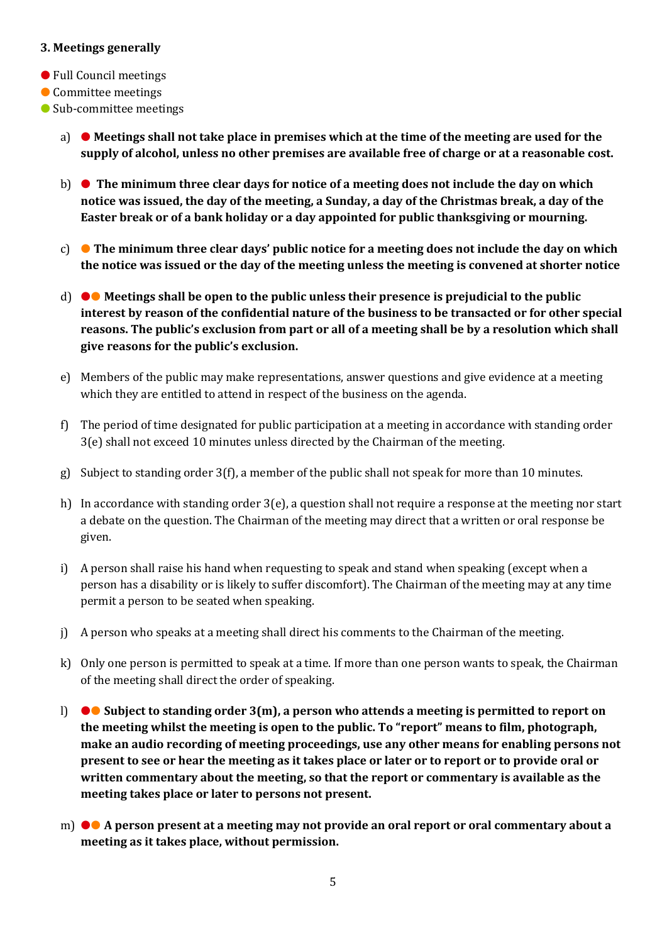#### **3. Meetings generally**

- Full Council meetings
- Committee meetings
- Sub-committee meetings
	- a) **Meetings shall not take place in premises which at the time of the meeting are used for the supply of alcohol, unless no other premises are available free of charge or at a reasonable cost.**
	- b) **The minimum three clear days for notice of a meeting does not include the day on which notice was issued, the day of the meeting, a Sunday, a day of the Christmas break, a day of the Easter break or of a bank holiday or a day appointed for public thanksgiving or mourning.**
	- c) **The minimum three clear days' public notice for a meeting does not include the day on which the notice was issued or the day of the meeting unless the meeting is convened at shorter notice**
	- d) ●● **Meetings shall be open to the public unless their presence is prejudicial to the public interest by reason of the confidential nature of the business to be transacted or for other special reasons. The public's exclusion from part or all of a meeting shall be by a resolution which shall give reasons for the public's exclusion.**
	- e) Members of the public may make representations, answer questions and give evidence at a meeting which they are entitled to attend in respect of the business on the agenda.
	- f) The period of time designated for public participation at a meeting in accordance with standing order 3(e) shall not exceed 10 minutes unless directed by the Chairman of the meeting.
	- g) Subject to standing order 3(f), a member of the public shall not speak for more than 10 minutes.
	- h) In accordance with standing order 3(e), a question shall not require a response at the meeting nor start a debate on the question. The Chairman of the meeting may direct that a written or oral response be given.
	- i) A person shall raise his hand when requesting to speak and stand when speaking (except when a person has a disability or is likely to suffer discomfort). The Chairman of the meeting may at any time permit a person to be seated when speaking.
	- j) A person who speaks at a meeting shall direct his comments to the Chairman of the meeting.
	- k) Only one person is permitted to speak at a time. If more than one person wants to speak, the Chairman of the meeting shall direct the order of speaking.
	- l) ●● **Subject to standing order 3(m), a person who attends a meeting is permitted to report on the meeting whilst the meeting is open to the public. To "report" means to film, photograph, make an audio recording of meeting proceedings, use any other means for enabling persons not present to see or hear the meeting as it takes place or later or to report or to provide oral or written commentary about the meeting, so that the report or commentary is available as the meeting takes place or later to persons not present.**
	- m) ●● **A person present at a meeting may not provide an oral report or oral commentary about a meeting as it takes place, without permission.**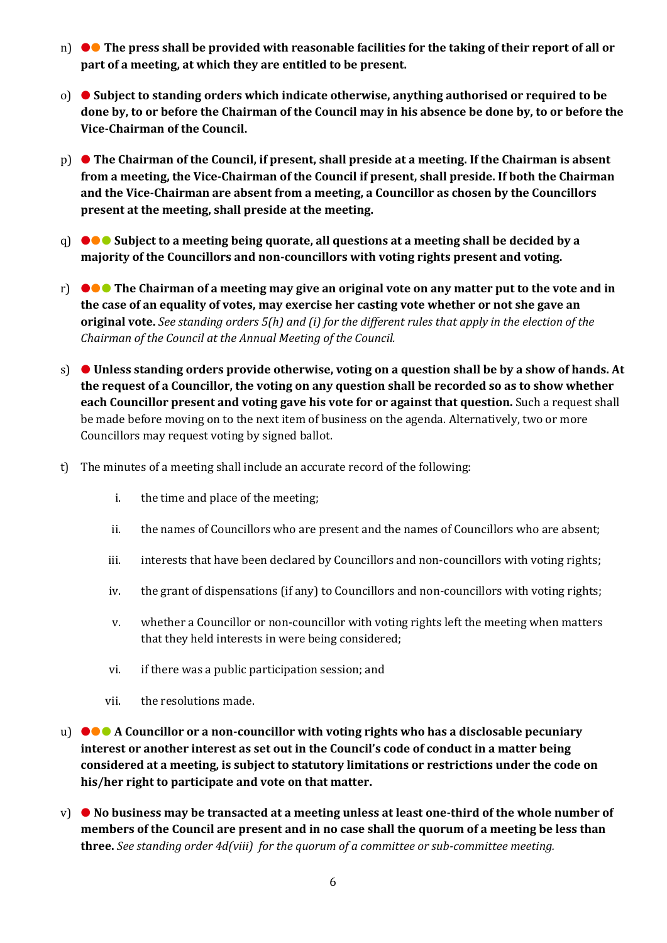- n) ●● **The press shall be provided with reasonable facilities for the taking of their report of all or part of a meeting, at which they are entitled to be present.**
- o) **Subject to standing orders which indicate otherwise, anything authorised or required to be done by, to or before the Chairman of the Council may in his absence be done by, to or before the Vice-Chairman of the Council.**
- p) **The Chairman of the Council, if present, shall preside at a meeting. If the Chairman is absent from a meeting, the Vice-Chairman of the Council if present, shall preside. If both the Chairman and the Vice-Chairman are absent from a meeting, a Councillor as chosen by the Councillors present at the meeting, shall preside at the meeting.**
- q) ●●● **Subject to a meeting being quorate, all questions at a meeting shall be decided by a majority of the Councillors and non-councillors with voting rights present and voting.**
- r) ●●● **The Chairman of a meeting may give an original vote on any matter put to the vote and in the case of an equality of votes, may exercise her casting vote whether or not she gave an original vote.** *See standing orders 5(h) and (i) for the different rules that apply in the election of the Chairman of the Council at the Annual Meeting of the Council.*
- s) **Unless standing orders provide otherwise, voting on a question shall be by a show of hands. At the request of a Councillor, the voting on any question shall be recorded so as to show whether each Councillor present and voting gave his vote for or against that question.** Such a request shall be made before moving on to the next item of business on the agenda. Alternatively, two or more Councillors may request voting by signed ballot.
- t) The minutes of a meeting shall include an accurate record of the following:
	- i. the time and place of the meeting;
	- ii. the names of Councillors who are present and the names of Councillors who are absent;
	- iii. interests that have been declared by Councillors and non-councillors with voting rights;
	- iv. the grant of dispensations (if any) to Councillors and non-councillors with voting rights;
	- v. whether a Councillor or non-councillor with voting rights left the meeting when matters that they held interests in were being considered;
	- vi. if there was a public participation session; and
	- vii. the resolutions made.
- u) ●●● **A Councillor or a non-councillor with voting rights who has a disclosable pecuniary interest or another interest as set out in the Council's code of conduct in a matter being considered at a meeting, is subject to statutory limitations or restrictions under the code on his/her right to participate and vote on that matter.**
- v) **No business may be transacted at a meeting unless at least one-third of the whole number of members of the Council are present and in no case shall the quorum of a meeting be less than three.** *See standing order 4d(viii) for the quorum of a committee or sub-committee meeting.*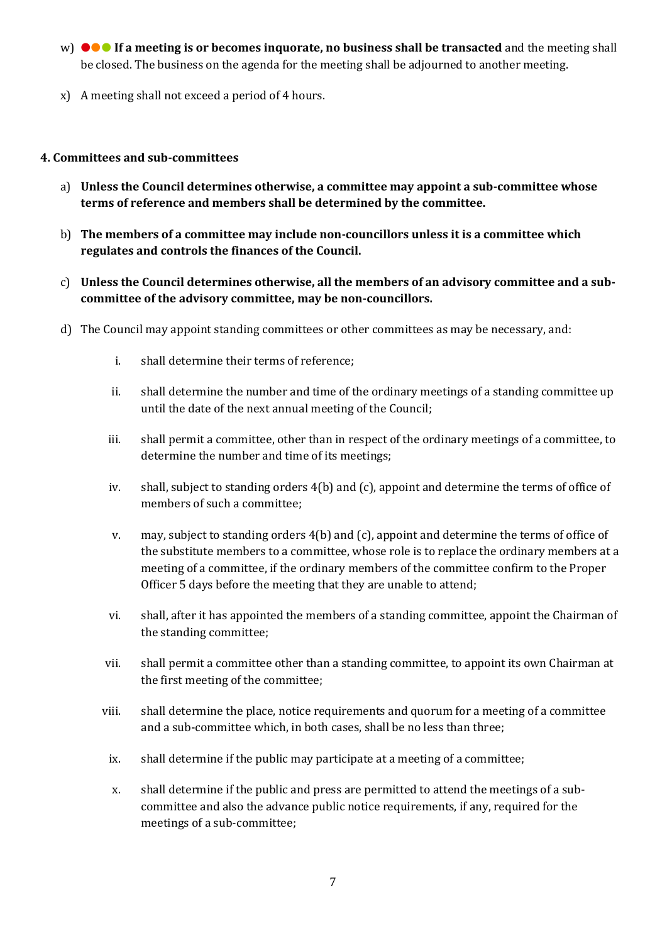- w) ●●● **If a meeting is or becomes inquorate, no business shall be transacted** and the meeting shall be closed. The business on the agenda for the meeting shall be adjourned to another meeting.
- x) A meeting shall not exceed a period of 4 hours.

### **4. Committees and sub-committees**

- a) **Unless the Council determines otherwise, a committee may appoint a sub-committee whose terms of reference and members shall be determined by the committee.**
- b) **The members of a committee may include non-councillors unless it is a committee which regulates and controls the finances of the Council.**
- c) **Unless the Council determines otherwise, all the members of an advisory committee and a subcommittee of the advisory committee, may be non-councillors.**
- d) The Council may appoint standing committees or other committees as may be necessary, and:
	- i. shall determine their terms of reference;
	- ii. shall determine the number and time of the ordinary meetings of a standing committee up until the date of the next annual meeting of the Council;
	- iii. shall permit a committee, other than in respect of the ordinary meetings of a committee, to determine the number and time of its meetings;
	- iv. shall, subject to standing orders 4(b) and (c), appoint and determine the terms of office of members of such a committee;
	- v. may, subject to standing orders 4(b) and (c), appoint and determine the terms of office of the substitute members to a committee, whose role is to replace the ordinary members at a meeting of a committee, if the ordinary members of the committee confirm to the Proper Officer 5 days before the meeting that they are unable to attend;
	- vi. shall, after it has appointed the members of a standing committee, appoint the Chairman of the standing committee;
	- vii. shall permit a committee other than a standing committee, to appoint its own Chairman at the first meeting of the committee;
	- viii. shall determine the place, notice requirements and quorum for a meeting of a committee and a sub-committee which, in both cases, shall be no less than three;
	- ix. shall determine if the public may participate at a meeting of a committee;
	- x. shall determine if the public and press are permitted to attend the meetings of a subcommittee and also the advance public notice requirements, if any, required for the meetings of a sub-committee;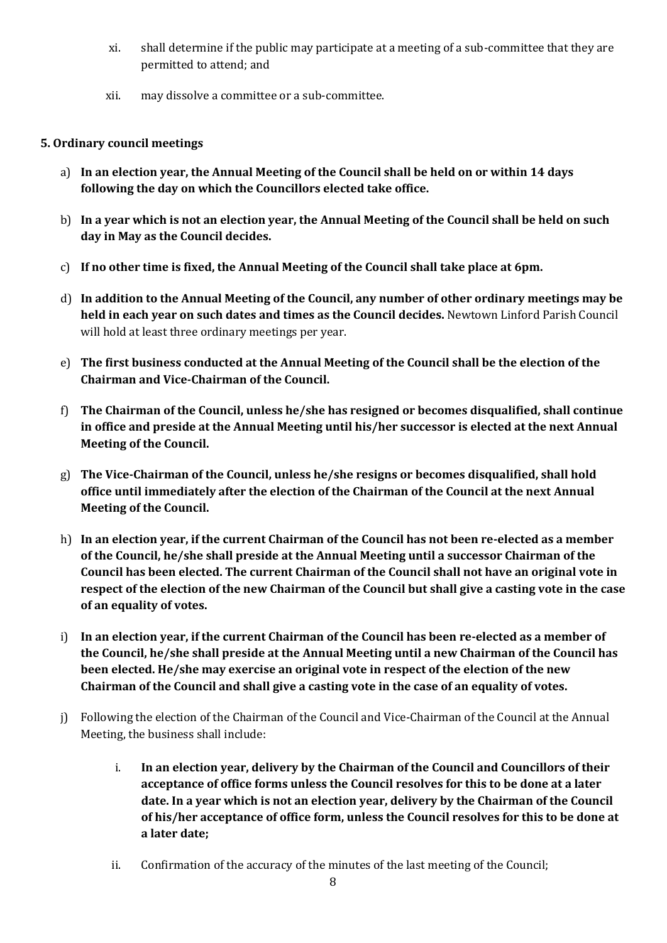- xi. shall determine if the public may participate at a meeting of a sub-committee that they are permitted to attend; and
- xii. may dissolve a committee or a sub-committee.

# **5. Ordinary council meetings**

- a) **In an election year, the Annual Meeting of the Council shall be held on or within 14 days following the day on which the Councillors elected take office.**
- b) **In a year which is not an election year, the Annual Meeting of the Council shall be held on such day in May as the Council decides.**
- c) **If no other time is fixed, the Annual Meeting of the Council shall take place at 6pm.**
- d) **In addition to the Annual Meeting of the Council, any number of other ordinary meetings may be held in each year on such dates and times as the Council decides.** Newtown Linford Parish Council will hold at least three ordinary meetings per year.
- e) **The first business conducted at the Annual Meeting of the Council shall be the election of the Chairman and Vice-Chairman of the Council.**
- f) **The Chairman of the Council, unless he/she has resigned or becomes disqualified, shall continue in office and preside at the Annual Meeting until his/her successor is elected at the next Annual Meeting of the Council.**
- g) **The Vice-Chairman of the Council, unless he/she resigns or becomes disqualified, shall hold office until immediately after the election of the Chairman of the Council at the next Annual Meeting of the Council.**
- h) **In an election year, if the current Chairman of the Council has not been re-elected as a member of the Council, he/she shall preside at the Annual Meeting until a successor Chairman of the Council has been elected. The current Chairman of the Council shall not have an original vote in respect of the election of the new Chairman of the Council but shall give a casting vote in the case of an equality of votes.**
- i) **In an election year, if the current Chairman of the Council has been re-elected as a member of the Council, he/she shall preside at the Annual Meeting until a new Chairman of the Council has been elected. He/she may exercise an original vote in respect of the election of the new Chairman of the Council and shall give a casting vote in the case of an equality of votes.**
- j) Following the election of the Chairman of the Council and Vice-Chairman of the Council at the Annual Meeting, the business shall include:
	- i. **In an election year, delivery by the Chairman of the Council and Councillors of their acceptance of office forms unless the Council resolves for this to be done at a later date. In a year which is not an election year, delivery by the Chairman of the Council of his/her acceptance of office form, unless the Council resolves for this to be done at a later date;**
	- ii. Confirmation of the accuracy of the minutes of the last meeting of the Council;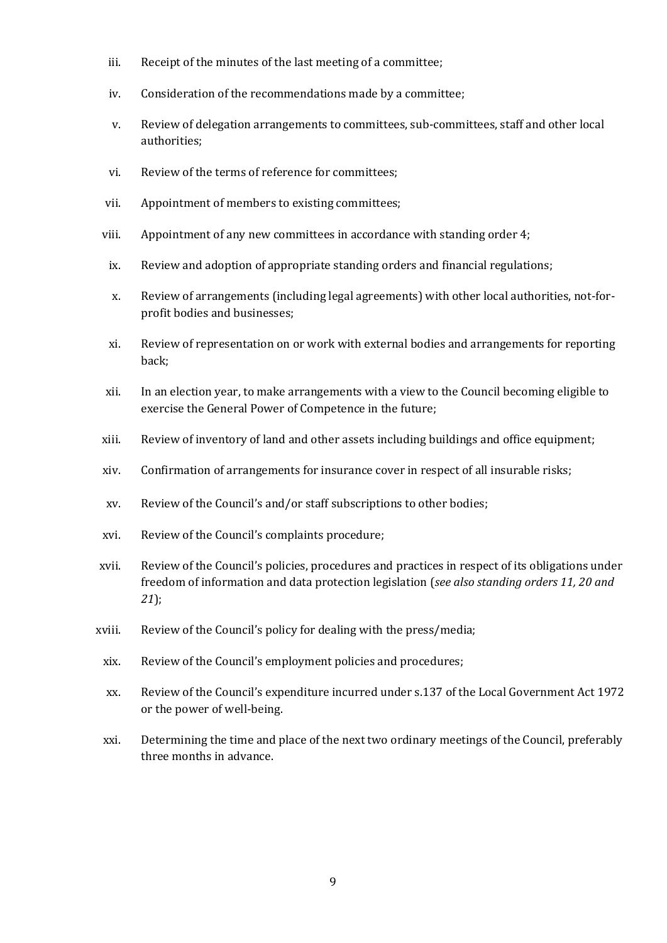- iii. Receipt of the minutes of the last meeting of a committee;
- iv. Consideration of the recommendations made by a committee;
- v. Review of delegation arrangements to committees, sub-committees, staff and other local authorities;
- vi. Review of the terms of reference for committees;
- vii. Appointment of members to existing committees;
- viii. Appointment of any new committees in accordance with standing order 4;
- ix. Review and adoption of appropriate standing orders and financial regulations;
- x. Review of arrangements (including legal agreements) with other local authorities, not-forprofit bodies and businesses;
- xi. Review of representation on or work with external bodies and arrangements for reporting back;
- xii. In an election year, to make arrangements with a view to the Council becoming eligible to exercise the General Power of Competence in the future;
- xiii. Review of inventory of land and other assets including buildings and office equipment;
- xiv. Confirmation of arrangements for insurance cover in respect of all insurable risks;
- xv. Review of the Council's and/or staff subscriptions to other bodies;
- xvi. Review of the Council's complaints procedure;
- xvii. Review of the Council's policies, procedures and practices in respect of its obligations under freedom of information and data protection legislation (*see also standing orders 11, 20 and 21*);
- xviii. Review of the Council's policy for dealing with the press/media;
- xix. Review of the Council's employment policies and procedures;
- xx. Review of the Council's expenditure incurred under s.137 of the Local Government Act 1972 or the power of well-being.
- xxi. Determining the time and place of the next two ordinary meetings of the Council, preferably three months in advance.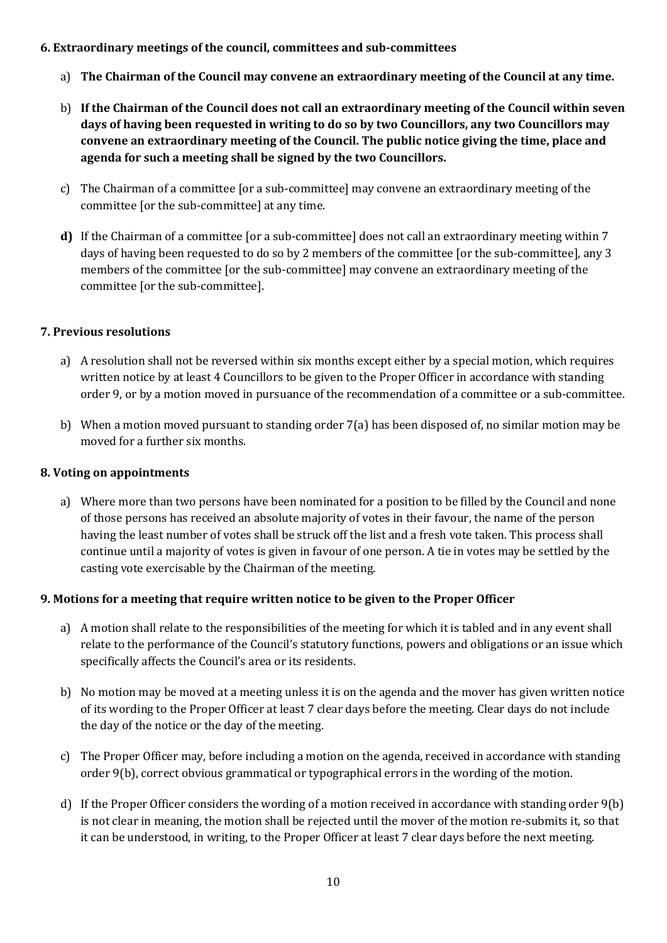## **6. Extraordinary meetings of the council, committees and sub-committees**

- a) **The Chairman of the Council may convene an extraordinary meeting of the Council at any time.**
- b) **If the Chairman of the Council does not call an extraordinary meeting of the Council within seven days of having been requested in writing to do so by two Councillors, any two Councillors may convene an extraordinary meeting of the Council. The public notice giving the time, place and agenda for such a meeting shall be signed by the two Councillors.**
- c) The Chairman of a committee [or a sub-committee] may convene an extraordinary meeting of the committee [or the sub-committee] at any time.
- **d**) If the Chairman of a committee [or a sub-committee] does not call an extraordinary meeting within 7 days of having been requested to do so by 2 members of the committee [or the sub-committee], any 3 members of the committee [or the sub-committee] may convene an extraordinary meeting of the committee [or the sub-committee].

#### **7. Previous resolutions**

- a) A resolution shall not be reversed within six months except either by a special motion, which requires written notice by at least 4 Councillors to be given to the Proper Officer in accordance with standing order 9, or by a motion moved in pursuance of the recommendation of a committee or a sub-committee.
- b) When a motion moved pursuant to standing order 7(a) has been disposed of, no similar motion may be moved for a further six months.

#### **8. Voting on appointments**

a) Where more than two persons have been nominated for a position to be filled by the Council and none of those persons has received an absolute majority of votes in their favour, the name of the person having the least number of votes shall be struck off the list and a fresh vote taken. This process shall continue until a majority of votes is given in favour of one person. A tie in votes may be settled by the casting vote exercisable by the Chairman of the meeting.

#### **9. Motions for a meeting that require written notice to be given to the Proper Officer**

- a) A motion shall relate to the responsibilities of the meeting for which it is tabled and in any event shall relate to the performance of the Council's statutory functions, powers and obligations or an issue which specifically affects the Council's area or its residents.
- b) No motion may be moved at a meeting unless it is on the agenda and the mover has given written notice of its wording to the Proper Officer at least 7 clear days before the meeting. Clear days do not include the day of the notice or the day of the meeting.
- c) The Proper Officer may, before including a motion on the agenda, received in accordance with standing order 9(b), correct obvious grammatical or typographical errors in the wording of the motion.
- d) If the Proper Officer considers the wording of a motion received in accordance with standing order 9(b) is not clear in meaning, the motion shall be rejected until the mover of the motion re-submits it, so that it can be understood, in writing, to the Proper Officer at least 7 clear days before the next meeting.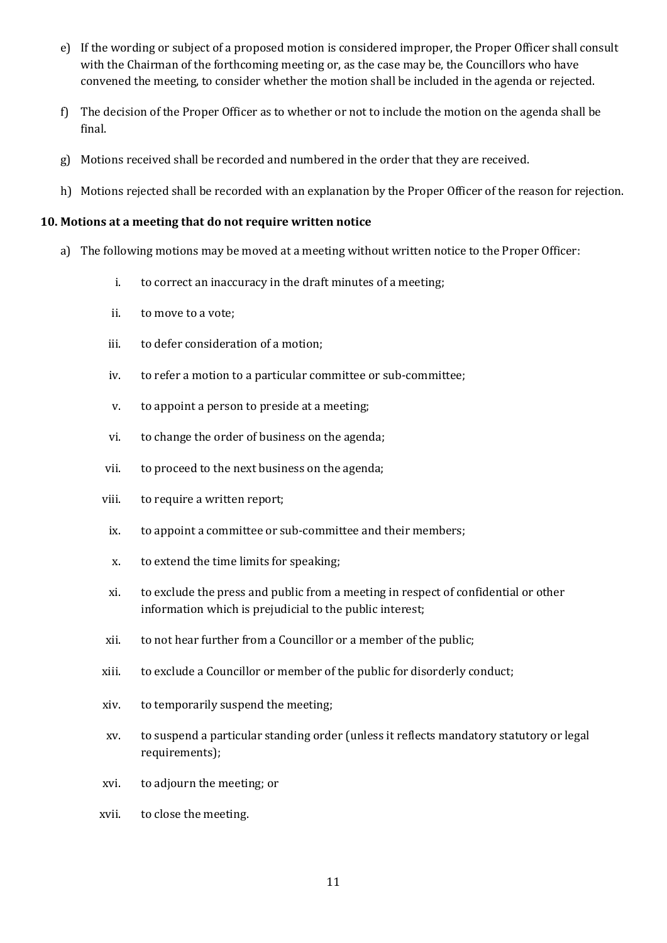- e) If the wording or subject of a proposed motion is considered improper, the Proper Officer shall consult with the Chairman of the forthcoming meeting or, as the case may be, the Councillors who have convened the meeting, to consider whether the motion shall be included in the agenda or rejected.
- f) The decision of the Proper Officer as to whether or not to include the motion on the agenda shall be final.
- g) Motions received shall be recorded and numbered in the order that they are received.
- h) Motions rejected shall be recorded with an explanation by the Proper Officer of the reason for rejection.

#### **10. Motions at a meeting that do not require written notice**

- a) The following motions may be moved at a meeting without written notice to the Proper Officer:
	- i. to correct an inaccuracy in the draft minutes of a meeting;
	- ii. to move to a vote;
	- iii. to defer consideration of a motion;
	- iv. to refer a motion to a particular committee or sub-committee;
	- v. to appoint a person to preside at a meeting;
	- vi. to change the order of business on the agenda;
	- vii. to proceed to the next business on the agenda;
	- viii. to require a written report;
	- ix. to appoint a committee or sub-committee and their members;
	- x. to extend the time limits for speaking;
	- xi. to exclude the press and public from a meeting in respect of confidential or other information which is prejudicial to the public interest;
	- xii. to not hear further from a Councillor or a member of the public;
	- xiii. to exclude a Councillor or member of the public for disorderly conduct;
	- xiv. to temporarily suspend the meeting;
	- xv. to suspend a particular standing order (unless it reflects mandatory statutory or legal requirements);
	- xvi. to adjourn the meeting; or
	- xvii. to close the meeting.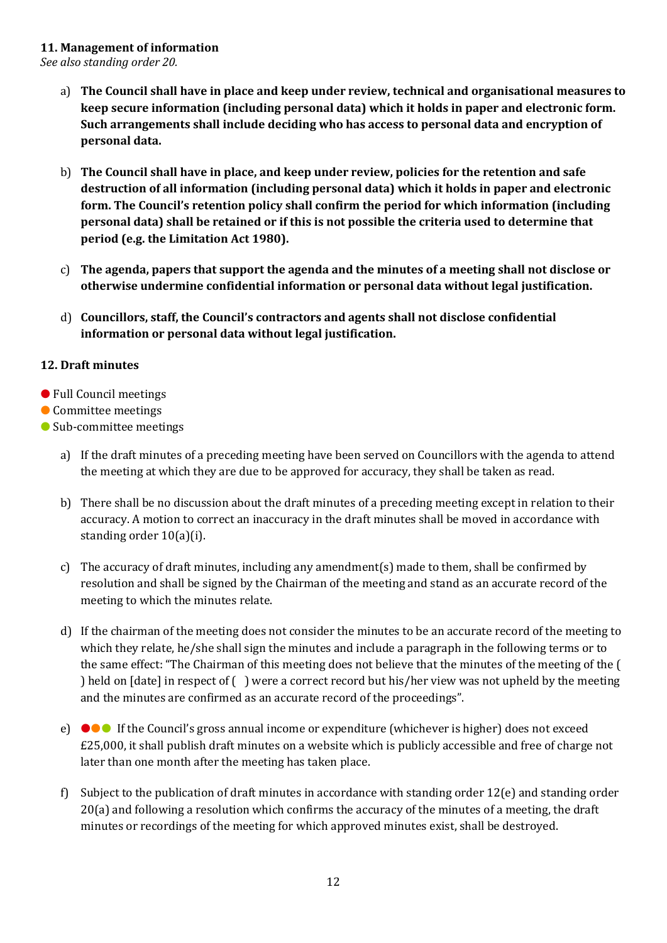### **11. Management of information**

*See also standing order 20.*

- a) **The Council shall have in place and keep under review, technical and organisational measures to keep secure information (including personal data) which it holds in paper and electronic form. Such arrangements shall include deciding who has access to personal data and encryption of personal data.**
- b) **The Council shall have in place, and keep under review, policies for the retention and safe destruction of all information (including personal data) which it holds in paper and electronic form. The Council's retention policy shall confirm the period for which information (including personal data) shall be retained or if this is not possible the criteria used to determine that period (e.g. the Limitation Act 1980).**
- c) **The agenda, papers that support the agenda and the minutes of a meeting shall not disclose or otherwise undermine confidential information or personal data without legal justification.**
- d) **Councillors, staff, the Council's contractors and agents shall not disclose confidential information or personal data without legal justification.**

# **12. Draft minutes**

- Full Council meetings
- Committee meetings
- Sub-committee meetings
	- a) If the draft minutes of a preceding meeting have been served on Councillors with the agenda to attend the meeting at which they are due to be approved for accuracy, they shall be taken as read.
	- b) There shall be no discussion about the draft minutes of a preceding meeting except in relation to their accuracy. A motion to correct an inaccuracy in the draft minutes shall be moved in accordance with standing order 10(a)(i).
	- c) The accuracy of draft minutes, including any amendment(s) made to them, shall be confirmed by resolution and shall be signed by the Chairman of the meeting and stand as an accurate record of the meeting to which the minutes relate.
	- d) If the chairman of the meeting does not consider the minutes to be an accurate record of the meeting to which they relate, he/she shall sign the minutes and include a paragraph in the following terms or to the same effect: "The Chairman of this meeting does not believe that the minutes of the meeting of the ( ) held on [date] in respect of ( ) were a correct record but his/her view was not upheld by the meeting and the minutes are confirmed as an accurate record of the proceedings".
	- e) ●●● If the Council's gross annual income or expenditure (whichever is higher) does not exceed £25,000, it shall publish draft minutes on a website which is publicly accessible and free of charge not later than one month after the meeting has taken place.
	- f) Subject to the publication of draft minutes in accordance with standing order 12(e) and standing order 20(a) and following a resolution which confirms the accuracy of the minutes of a meeting, the draft minutes or recordings of the meeting for which approved minutes exist, shall be destroyed.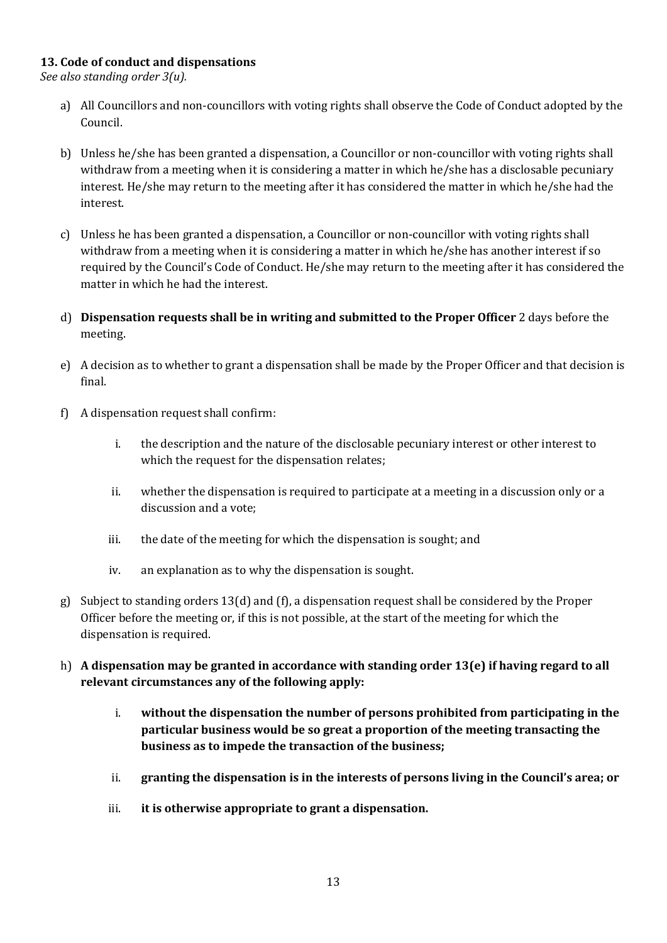### **13. Code of conduct and dispensations**

*See also standing order 3(u).*

- a) All Councillors and non-councillors with voting rights shall observe the Code of Conduct adopted by the Council.
- b) Unless he/she has been granted a dispensation, a Councillor or non-councillor with voting rights shall withdraw from a meeting when it is considering a matter in which he/she has a disclosable pecuniary interest. He/she may return to the meeting after it has considered the matter in which he/she had the interest.
- c) Unless he has been granted a dispensation, a Councillor or non-councillor with voting rights shall withdraw from a meeting when it is considering a matter in which he/she has another interest if so required by the Council's Code of Conduct. He/she may return to the meeting after it has considered the matter in which he had the interest.
- d) **Dispensation requests shall be in writing and submitted to the Proper Officer** 2 days before the meeting.
- e) A decision as to whether to grant a dispensation shall be made by the Proper Officer and that decision is final.
- f) A dispensation request shall confirm:
	- i. the description and the nature of the disclosable pecuniary interest or other interest to which the request for the dispensation relates;
	- ii. whether the dispensation is required to participate at a meeting in a discussion only or a discussion and a vote;
	- iii. the date of the meeting for which the dispensation is sought; and
	- iv. an explanation as to why the dispensation is sought.
- g) Subject to standing orders 13(d) and (f), a dispensation request shall be considered by the Proper Officer before the meeting or, if this is not possible, at the start of the meeting for which the dispensation is required.
- h) **A dispensation may be granted in accordance with standing order 13(e) if having regard to all relevant circumstances any of the following apply:**
	- i. **without the dispensation the number of persons prohibited from participating in the particular business would be so great a proportion of the meeting transacting the business as to impede the transaction of the business;**
	- ii. **granting the dispensation is in the interests of persons living in the Council's area; or**
	- iii. **it is otherwise appropriate to grant a dispensation.**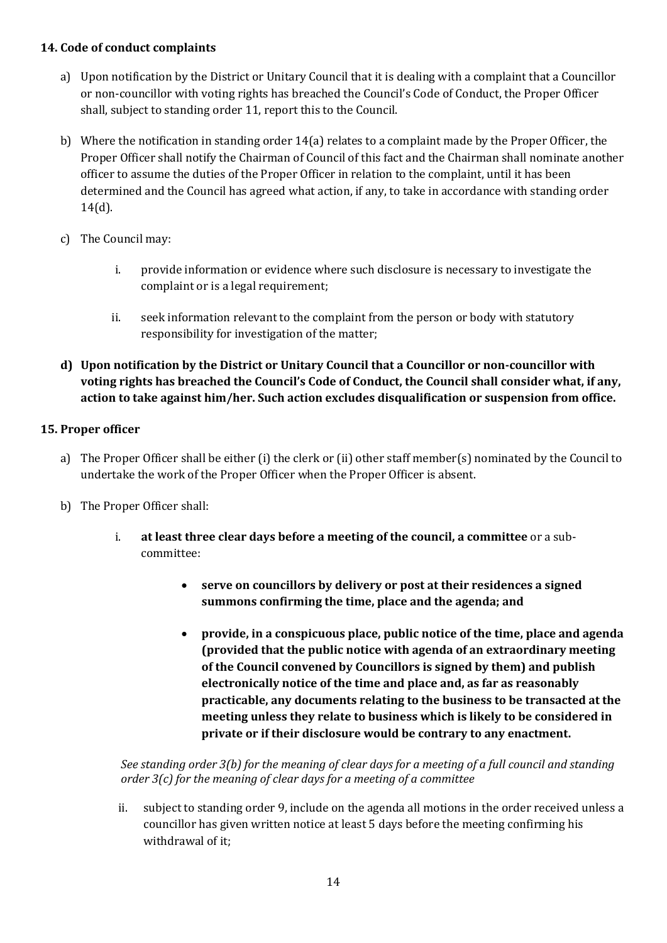## **14. Code of conduct complaints**

- a) Upon notification by the District or Unitary Council that it is dealing with a complaint that a Councillor or non-councillor with voting rights has breached the Council's Code of Conduct, the Proper Officer shall, subject to standing order 11, report this to the Council.
- b) Where the notification in standing order 14(a) relates to a complaint made by the Proper Officer, the Proper Officer shall notify the Chairman of Council of this fact and the Chairman shall nominate another officer to assume the duties of the Proper Officer in relation to the complaint, until it has been determined and the Council has agreed what action, if any, to take in accordance with standing order 14(d).
- c) The Council may:
	- i. provide information or evidence where such disclosure is necessary to investigate the complaint or is a legal requirement;
	- ii. seek information relevant to the complaint from the person or body with statutory responsibility for investigation of the matter;
- **d) Upon notification by the District or Unitary Council that a Councillor or non-councillor with voting rights has breached the Council's Code of Conduct, the Council shall consider what, if any, action to take against him/her. Such action excludes disqualification or suspension from office.**

# **15. Proper officer**

- a) The Proper Officer shall be either (i) the clerk or (ii) other staff member(s) nominated by the Council to undertake the work of the Proper Officer when the Proper Officer is absent.
- b) The Proper Officer shall:
	- i. **at least three clear days before a meeting of the council, a committee** or a subcommittee:
		- **serve on councillors by delivery or post at their residences a signed summons confirming the time, place and the agenda; and**
		- **provide, in a conspicuous place, public notice of the time, place and agenda (provided that the public notice with agenda of an extraordinary meeting of the Council convened by Councillors is signed by them) and publish electronically notice of the time and place and, as far as reasonably practicable, any documents relating to the business to be transacted at the meeting unless they relate to business which is likely to be considered in private or if their disclosure would be contrary to any enactment.**

*See standing order 3(b) for the meaning of clear days for a meeting of a full council and standing order 3(c) for the meaning of clear days for a meeting of a committee*

ii. subject to standing order 9, include on the agenda all motions in the order received unless a councillor has given written notice at least 5 days before the meeting confirming his withdrawal of it;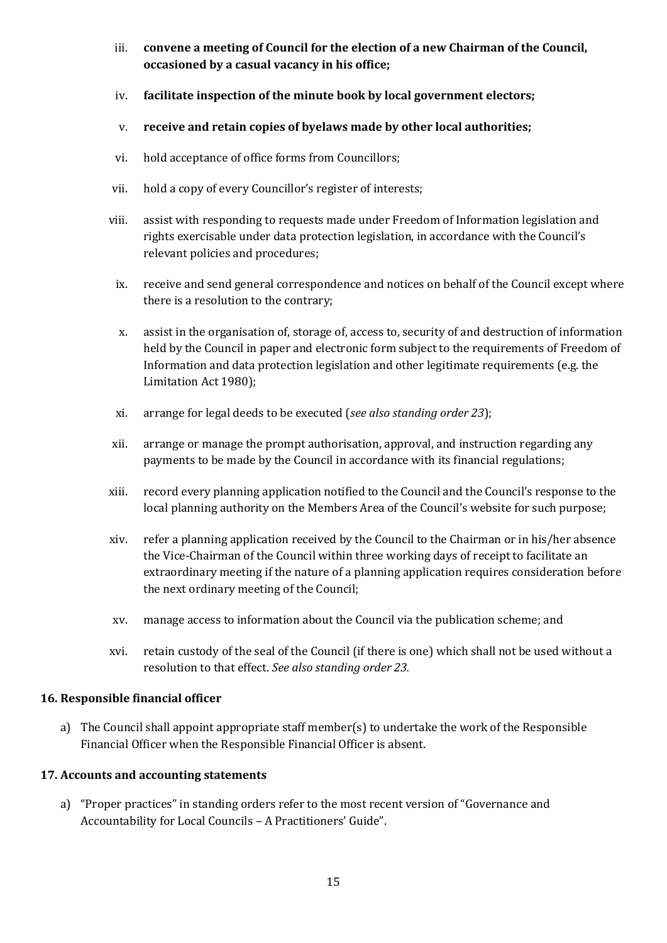- iii. **convene a meeting of Council for the election of a new Chairman of the Council, occasioned by a casual vacancy in his office;**
- iv. **facilitate inspection of the minute book by local government electors;**
- v. **receive and retain copies of byelaws made by other local authorities;**
- vi. hold acceptance of office forms from Councillors;
- vii. hold a copy of every Councillor's register of interests;
- viii. assist with responding to requests made under Freedom of Information legislation and rights exercisable under data protection legislation, in accordance with the Council's relevant policies and procedures;
- ix. receive and send general correspondence and notices on behalf of the Council except where there is a resolution to the contrary;
- x. assist in the organisation of, storage of, access to, security of and destruction of information held by the Council in paper and electronic form subject to the requirements of Freedom of Information and data protection legislation and other legitimate requirements (e.g. the Limitation Act 1980);
- xi. arrange for legal deeds to be executed (*see also standing order 23*);
- xii. arrange or manage the prompt authorisation, approval, and instruction regarding any payments to be made by the Council in accordance with its financial regulations;
- xiii. record every planning application notified to the Council and the Council's response to the local planning authority on the Members Area of the Council's website for such purpose;
- xiv. refer a planning application received by the Council to the Chairman or in his/her absence the Vice-Chairman of the Council within three working days of receipt to facilitate an extraordinary meeting if the nature of a planning application requires consideration before the next ordinary meeting of the Council;
- xv. manage access to information about the Council via the publication scheme; and
- xvi. retain custody of the seal of the Council (if there is one) which shall not be used without a resolution to that effect. *See also standing order 23.*

# **16. Responsible financial officer**

a) The Council shall appoint appropriate staff member(s) to undertake the work of the Responsible Financial Officer when the Responsible Financial Officer is absent.

# **17. Accounts and accounting statements**

a) "Proper practices" in standing orders refer to the most recent version of "Governance and Accountability for Local Councils – A Practitioners' Guide".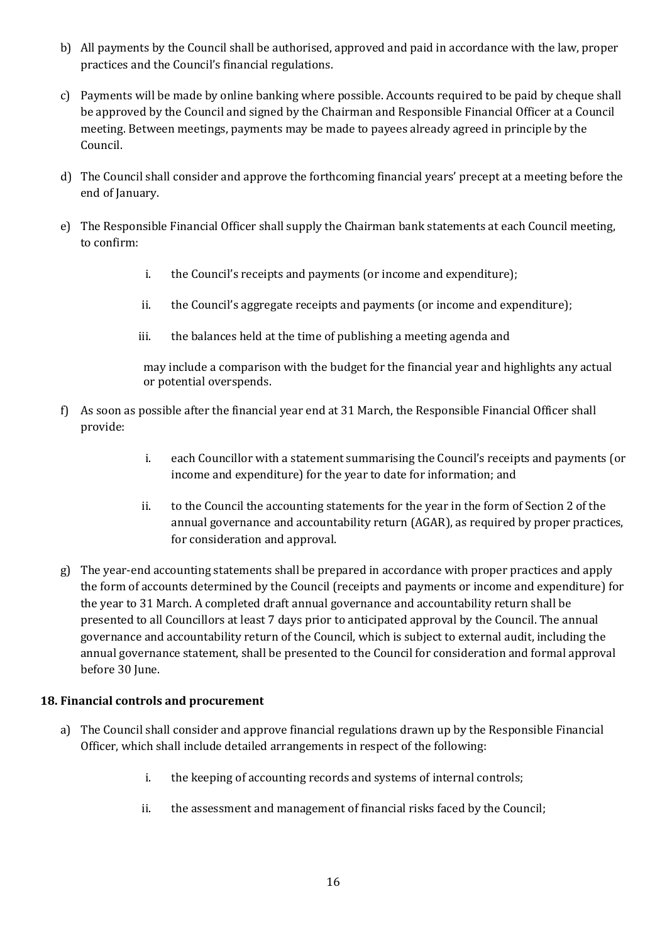- b) All payments by the Council shall be authorised, approved and paid in accordance with the law, proper practices and the Council's financial regulations.
- c) Payments will be made by online banking where possible. Accounts required to be paid by cheque shall be approved by the Council and signed by the Chairman and Responsible Financial Officer at a Council meeting. Between meetings, payments may be made to payees already agreed in principle by the Council.
- d) The Council shall consider and approve the forthcoming financial years' precept at a meeting before the end of January.
- e) The Responsible Financial Officer shall supply the Chairman bank statements at each Council meeting, to confirm:
	- i. the Council's receipts and payments (or income and expenditure);
	- ii. the Council's aggregate receipts and payments (or income and expenditure);
	- iii. the balances held at the time of publishing a meeting agenda and

may include a comparison with the budget for the financial year and highlights any actual or potential overspends.

- f) As soon as possible after the financial year end at 31 March, the Responsible Financial Officer shall provide:
	- i. each Councillor with a statement summarising the Council's receipts and payments (or income and expenditure) for the year to date for information; and
	- ii. to the Council the accounting statements for the year in the form of Section 2 of the annual governance and accountability return (AGAR), as required by proper practices, for consideration and approval.
- g) The year-end accounting statements shall be prepared in accordance with proper practices and apply the form of accounts determined by the Council (receipts and payments or income and expenditure) for the year to 31 March. A completed draft annual governance and accountability return shall be presented to all Councillors at least 7 days prior to anticipated approval by the Council. The annual governance and accountability return of the Council, which is subject to external audit, including the annual governance statement, shall be presented to the Council for consideration and formal approval before 30 June.

#### **18. Financial controls and procurement**

- a) The Council shall consider and approve financial regulations drawn up by the Responsible Financial Officer, which shall include detailed arrangements in respect of the following:
	- i. the keeping of accounting records and systems of internal controls;
	- ii. the assessment and management of financial risks faced by the Council;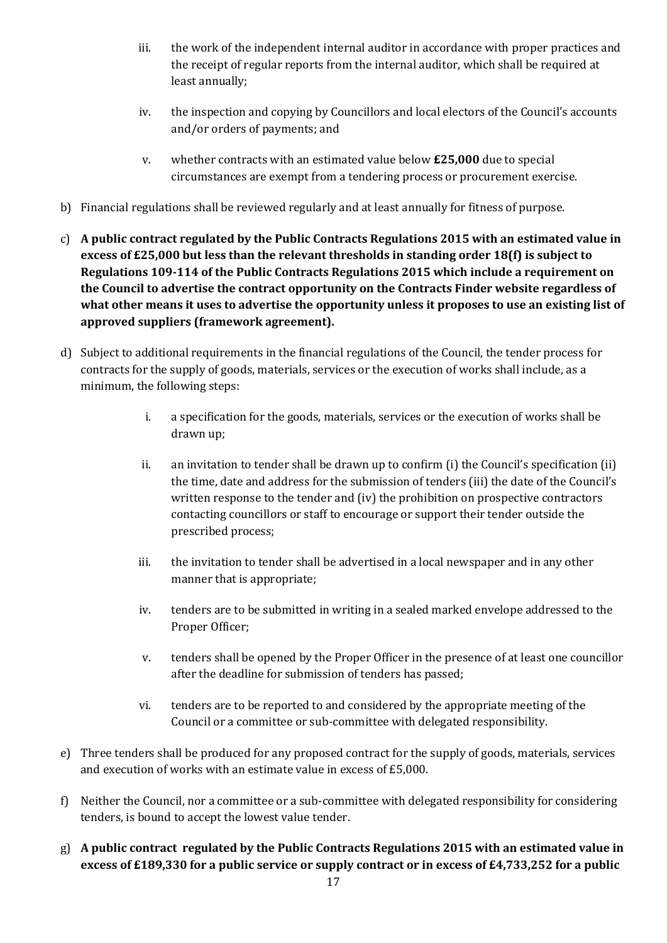- iii. the work of the independent internal auditor in accordance with proper practices and the receipt of regular reports from the internal auditor, which shall be required at least annually;
- iv. the inspection and copying by Councillors and local electors of the Council's accounts and/or orders of payments; and
- v. whether contracts with an estimated value below **£25,000** due to special circumstances are exempt from a tendering process or procurement exercise.
- b) Financial regulations shall be reviewed regularly and at least annually for fitness of purpose.
- c) **A public contract regulated by the Public Contracts Regulations 2015 with an estimated value in excess of £25,000 but less than the relevant thresholds in standing order 18(f) is subject to Regulations 109-114 of the Public Contracts Regulations 2015 which include a requirement on the Council to advertise the contract opportunity on the Contracts Finder website regardless of what other means it uses to advertise the opportunity unless it proposes to use an existing list of approved suppliers (framework agreement).**
- d) Subject to additional requirements in the financial regulations of the Council, the tender process for contracts for the supply of goods, materials, services or the execution of works shall include, as a minimum, the following steps:
	- i. a specification for the goods, materials, services or the execution of works shall be drawn up;
	- ii. an invitation to tender shall be drawn up to confirm (i) the Council's specification (ii) the time, date and address for the submission of tenders (iii) the date of the Council's written response to the tender and (iv) the prohibition on prospective contractors contacting councillors or staff to encourage or support their tender outside the prescribed process;
	- iii. the invitation to tender shall be advertised in a local newspaper and in any other manner that is appropriate;
	- iv. tenders are to be submitted in writing in a sealed marked envelope addressed to the Proper Officer;
	- v. tenders shall be opened by the Proper Officer in the presence of at least one councillor after the deadline for submission of tenders has passed;
	- vi. tenders are to be reported to and considered by the appropriate meeting of the Council or a committee or sub-committee with delegated responsibility.
- e) Three tenders shall be produced for any proposed contract for the supply of goods, materials, services and execution of works with an estimate value in excess of £5,000.
- f) Neither the Council, nor a committee or a sub-committee with delegated responsibility for considering tenders, is bound to accept the lowest value tender.
- g) **A public contract regulated by the Public Contracts Regulations 2015 with an estimated value in excess of £189,330 for a public service or supply contract or in excess of £4,733,252 for a public**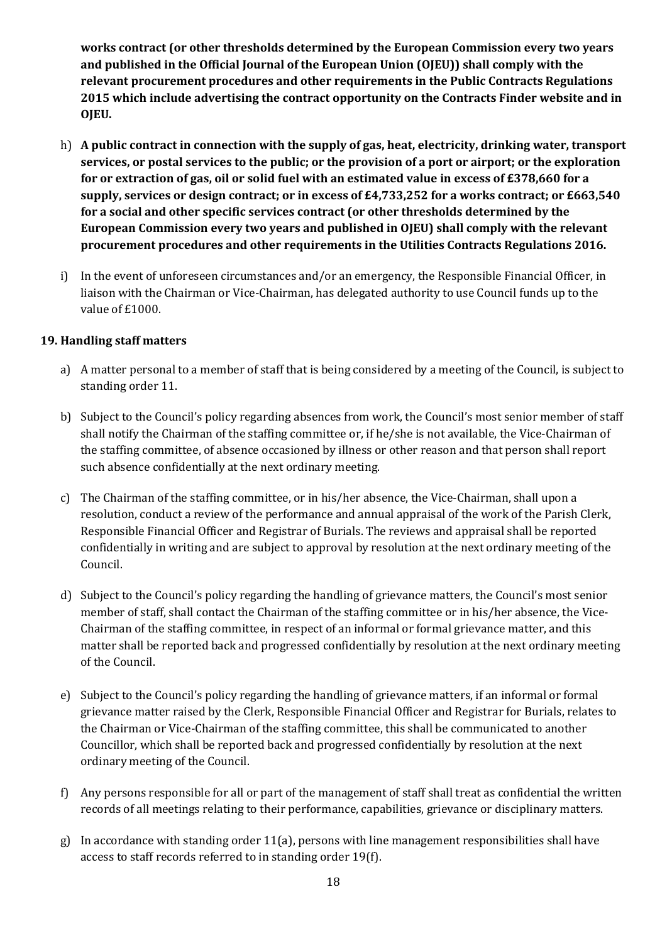**works contract (or other thresholds determined by the European Commission every two years and published in the Official Journal of the European Union (OJEU)) shall comply with the relevant procurement procedures and other requirements in the Public Contracts Regulations 2015 which include advertising the contract opportunity on the Contracts Finder website and in OJEU.**

- h) **A public contract in connection with the supply of gas, heat, electricity, drinking water, transport services, or postal services to the public; or the provision of a port or airport; or the exploration for or extraction of gas, oil or solid fuel with an estimated value in excess of £378,660 for a supply, services or design contract; or in excess of £4,733,252 for a works contract; or £663,540 for a social and other specific services contract (or other thresholds determined by the European Commission every two years and published in OJEU) shall comply with the relevant procurement procedures and other requirements in the Utilities Contracts Regulations 2016.**
- i) In the event of unforeseen circumstances and/or an emergency, the Responsible Financial Officer, in liaison with the Chairman or Vice-Chairman, has delegated authority to use Council funds up to the value of £1000.

### **19. Handling staff matters**

- a) A matter personal to a member of staff that is being considered by a meeting of the Council, is subject to standing order 11.
- b) Subject to the Council's policy regarding absences from work, the Council's most senior member of staff shall notify the Chairman of the staffing committee or, if he/she is not available, the Vice-Chairman of the staffing committee, of absence occasioned by illness or other reason and that person shall report such absence confidentially at the next ordinary meeting.
- c) The Chairman of the staffing committee, or in his/her absence, the Vice-Chairman, shall upon a resolution, conduct a review of the performance and annual appraisal of the work of the Parish Clerk, Responsible Financial Officer and Registrar of Burials. The reviews and appraisal shall be reported confidentially in writing and are subject to approval by resolution at the next ordinary meeting of the Council.
- d) Subject to the Council's policy regarding the handling of grievance matters, the Council's most senior member of staff, shall contact the Chairman of the staffing committee or in his/her absence, the Vice-Chairman of the staffing committee, in respect of an informal or formal grievance matter, and this matter shall be reported back and progressed confidentially by resolution at the next ordinary meeting of the Council.
- e) Subject to the Council's policy regarding the handling of grievance matters, if an informal or formal grievance matter raised by the Clerk, Responsible Financial Officer and Registrar for Burials, relates to the Chairman or Vice-Chairman of the staffing committee, this shall be communicated to another Councillor, which shall be reported back and progressed confidentially by resolution at the next ordinary meeting of the Council.
- f) Any persons responsible for all or part of the management of staff shall treat as confidential the written records of all meetings relating to their performance, capabilities, grievance or disciplinary matters.
- g) In accordance with standing order 11(a), persons with line management responsibilities shall have access to staff records referred to in standing order 19(f).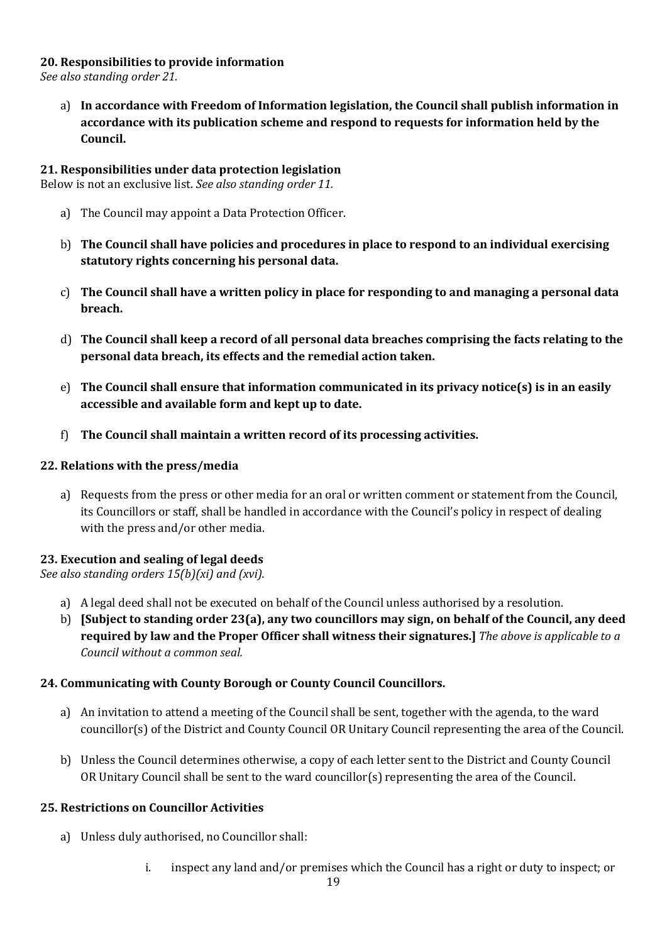### **20. Responsibilities to provide information**

*See also standing order 21.*

a) **In accordance with Freedom of Information legislation, the Council shall publish information in accordance with its publication scheme and respond to requests for information held by the Council.**

### **21. Responsibilities under data protection legislation**

Below is not an exclusive list. *See also standing order 11.*

- a) The Council may appoint a Data Protection Officer.
- b) **The Council shall have policies and procedures in place to respond to an individual exercising statutory rights concerning his personal data.**
- c) **The Council shall have a written policy in place for responding to and managing a personal data breach.**
- d) **The Council shall keep a record of all personal data breaches comprising the facts relating to the personal data breach, its effects and the remedial action taken.**
- e) **The Council shall ensure that information communicated in its privacy notice(s) is in an easily accessible and available form and kept up to date.**
- f) **The Council shall maintain a written record of its processing activities.**

### **22. Relations with the press/media**

a) Requests from the press or other media for an oral or written comment or statement from the Council, its Councillors or staff, shall be handled in accordance with the Council's policy in respect of dealing with the press and/or other media.

# **23. Execution and sealing of legal deeds**

*See also standing orders 15(b)(xi) and (xvi).*

- a) A legal deed shall not be executed on behalf of the Council unless authorised by a resolution.
- b) **[Subject to standing order 23(a), any two councillors may sign, on behalf of the Council, any deed required by law and the Proper Officer shall witness their signatures.]** *The above is applicable to a Council without a common seal.*

# **24. Communicating with County Borough or County Council Councillors.**

- a) An invitation to attend a meeting of the Council shall be sent, together with the agenda, to the ward councillor(s) of the District and County Council OR Unitary Council representing the area of the Council.
- b) Unless the Council determines otherwise, a copy of each letter sent to the District and County Council OR Unitary Council shall be sent to the ward councillor(s) representing the area of the Council.

#### **25. Restrictions on Councillor Activities**

- a) Unless duly authorised, no Councillor shall:
	- i. inspect any land and/or premises which the Council has a right or duty to inspect; or